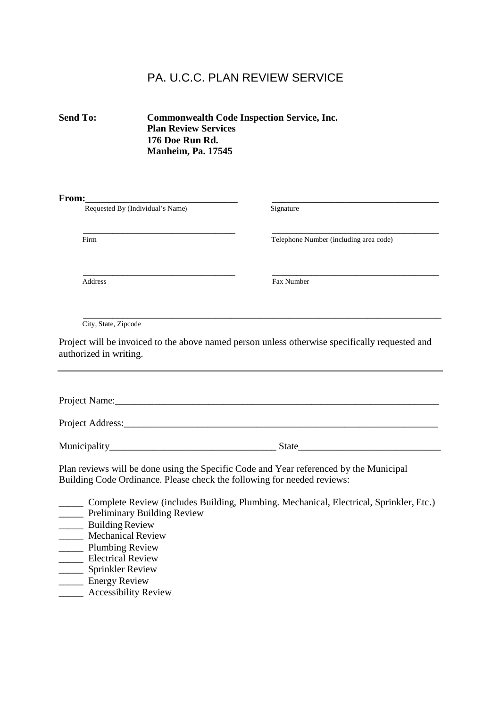## PA. U.C.C. PLAN REVIEW SERVICE

## **Send To: Commonwealth Code Inspection Service, Inc. Plan Review Services 176 Doe Run Rd. Manheim, Pa. 17545**

| From:                                                                                                                                            |                                                                                          |
|--------------------------------------------------------------------------------------------------------------------------------------------------|------------------------------------------------------------------------------------------|
| Requested By (Individual's Name)                                                                                                                 | Signature                                                                                |
|                                                                                                                                                  |                                                                                          |
| Firm                                                                                                                                             | Telephone Number (including area code)                                                   |
| <b>Address</b>                                                                                                                                   | Fax Number                                                                               |
|                                                                                                                                                  |                                                                                          |
| City, State, Zipcode<br>Project will be invoiced to the above named person unless otherwise specifically requested and<br>authorized in writing. |                                                                                          |
|                                                                                                                                                  |                                                                                          |
| Project Name: 1000 million and the contract of the contract of the contract of the contract of the contract of                                   |                                                                                          |
|                                                                                                                                                  |                                                                                          |
|                                                                                                                                                  |                                                                                          |
| Building Code Ordinance. Please check the following for needed reviews:                                                                          | Plan reviews will be done using the Specific Code and Year referenced by the Municipal   |
| <b>Example 3 Preliminary Building Review</b>                                                                                                     | _ Complete Review (includes Building, Plumbing. Mechanical, Electrical, Sprinkler, Etc.) |
| <b>EXECUTE:</b> Building Review                                                                                                                  |                                                                                          |
| <b>Mechanical Review</b>                                                                                                                         |                                                                                          |
| <b>Example 1</b> Plumbing Review<br>____ Electrical Review                                                                                       |                                                                                          |
| ______ Sprinkler Review                                                                                                                          |                                                                                          |
| <b>Energy Review</b>                                                                                                                             |                                                                                          |
| <b>Accessibility Review</b>                                                                                                                      |                                                                                          |